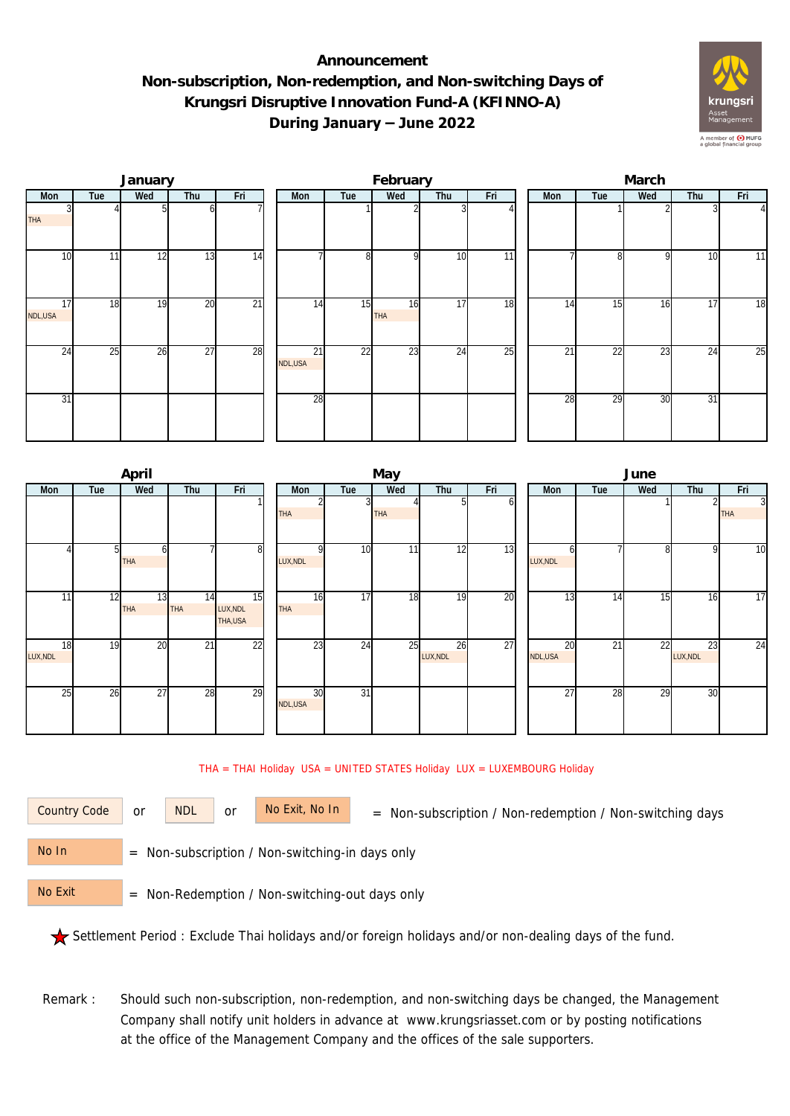## **Announcement Non-subscription, Non-redemption, and Non-switching Days of Krungsri Disruptive Innovation Fund-A (KFINNO-A) During January – June 2022**



|                            |     | January |                 |                 |               |     | February  |                 |                 | March |                 |     |     |                |  |  |
|----------------------------|-----|---------|-----------------|-----------------|---------------|-----|-----------|-----------------|-----------------|-------|-----------------|-----|-----|----------------|--|--|
| Mon                        | Tue | Wed     | Thu             | Fri             | Mon           | Tue | Wed       | Thu             | Fri             | Mon   | Tue             | Wed | Thu | Fri            |  |  |
| <b>THA</b>                 |     |         | ΩI              |                 |               |     |           |                 |                 |       |                 |     |     | $\overline{4}$ |  |  |
| 10                         | 11  | 12      | 13              | 14              |               | 8   | οI        | 10              | $\overline{11}$ |       | 81              | 9   | 10  | 11             |  |  |
| $1\overline{7}$<br>NDL,USA | 18  | 19      | 20              | $\overline{21}$ | 14            | 15  | 16<br>THA | 17              | 18              | 14    | 15              | 16  | 17  | 18             |  |  |
| 24                         | 25  | 26      | $\overline{27}$ | 28              | 21<br>NDL,USA | 22  | 23        | $2\overline{4}$ | 25              | 21    | $2\overline{2}$ | 23  | 24  | 25             |  |  |
| $\overline{31}$            |     |         |                 |                 | 28            |     |           |                 |                 | 28    | 29              | 30  | 31  |                |  |  |

|                |     | April            |                  |                            |               |                 | May        |                |     | June            |     |     |                |                |  |  |
|----------------|-----|------------------|------------------|----------------------------|---------------|-----------------|------------|----------------|-----|-----------------|-----|-----|----------------|----------------|--|--|
| Mon            | Tue | Wed              | Thu              | Fri                        | Mon           | Tue             | Wed        | Thu            | Fri | <b>Mon</b>      | Tue | Wed | Thu            | Fri            |  |  |
|                |     |                  |                  |                            |               |                 |            | n              | οı  |                 |     |     | $\overline{2}$ | $\overline{3}$ |  |  |
|                |     |                  |                  |                            | <b>THA</b>    |                 | <b>THA</b> |                |     |                 |     |     |                | <b>THA</b>     |  |  |
|                |     | ω<br><b>THA</b>  |                  | 8                          | n<br>LUX, NDL | 10              | 11         | 12             | 13  | LUX, NDL        |     | 8   | 9              | 10             |  |  |
| 11             | 12  | 13<br><b>THA</b> | 14<br><b>THA</b> | 15<br>LUX, NDL<br>THA, USA | 16<br>THA     | 17              | 18         | 19             | 20  | 13              | 14  | 15  | 16             | 17             |  |  |
| 18<br>LUX, NDL | 19  | $\overline{20}$  | $\overline{21}$  | $\overline{22}$            | 23            | 24              | 25         | 26<br>LUX, NDL | 27  | 20<br>NDL,USA   | 21  | 22  | 23<br>LUX, NDL | 24             |  |  |
| 25             | 26  | 27               | 28               | 29                         | 30<br>NDL,USA | $\overline{31}$ |            |                |     | $\overline{27}$ | 28  | 29  | 30             |                |  |  |

## THA = THAI Holiday USA = UNITED STATES Holiday LUX = LUXEMBOURG Holiday



or NDL or

Country Code or NDL or No Exit, No In = Non-subscription / Non-redemption / Non-switching days

 = Non-subscription / Non-switching-in days only No In

 = Non-Redemption / Non-switching-out days only No Exit

Settlement Period : Exclude Thai holidays and/or foreign holidays and/or non-dealing days of the fund.

Remark : Should such non-subscription, non-redemption, and non-switching days be changed, the Management Company shall notify unit holders in advance at www.krungsriasset.com or by posting notifications at the office of the Management Company and the offices of the sale supporters.